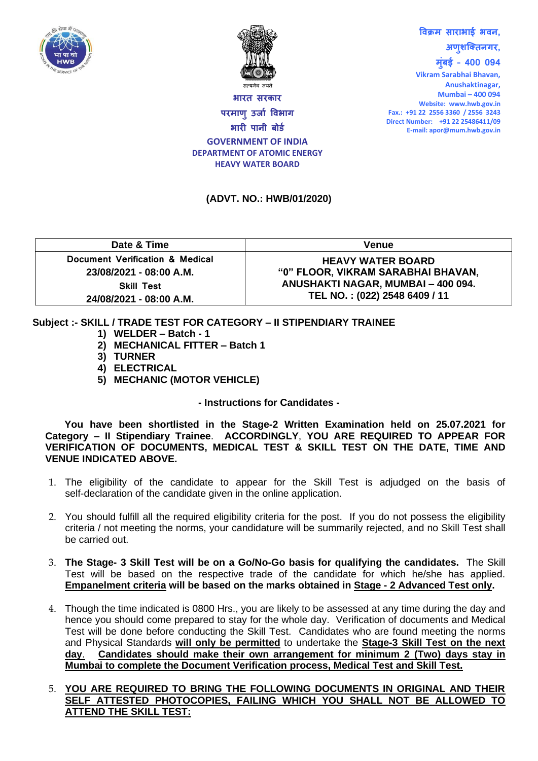



**भारि सरकार परमाणुउर्ाा विभाग भारी पानी बोर्ा GOVERNMENT OF INDIA DEPARTMENT OF ATOMIC ENERGY HEAVY WATER BOARD**

## **विक्रम साराभाई भिन, अणुशक्तिनगर, मुुंबई – 400 094**

**Vikram Sarabhai Bhavan, Anushaktinagar, Mumbai – 400 094 Website: www.hwb.gov.in Fax.: +91 22 2556 3360 / 2556 3243 Direct Number: +91 22 25486411/09 E-mail: apor@mum.hwb.gov.in**

## **(ADVT. NO.: HWB/01/2020)**

| Date & Time                     | <b>Venue</b>                       |  |  |
|---------------------------------|------------------------------------|--|--|
| Document Verification & Medical | <b>HEAVY WATER BOARD</b>           |  |  |
| 23/08/2021 - 08:00 A.M.         | "0" FLOOR, VIKRAM SARABHAI BHAVAN, |  |  |
| <b>Skill Test</b>               | ANUSHAKTI NAGAR, MUMBAI - 400 094. |  |  |
| 24/08/2021 - 08:00 A.M.         | TEL NO.: (022) 2548 6409 / 11      |  |  |

## **Subject :- SKILL / TRADE TEST FOR CATEGORY – II STIPENDIARY TRAINEE**

- **1) WELDER – Batch - 1**
- **2) MECHANICAL FITTER – Batch 1**
- **3) TURNER**
- **4) ELECTRICAL**
- **5) MECHANIC (MOTOR VEHICLE)**

## **- Instructions for Candidates -**

**You have been shortlisted in the Stage-2 Written Examination held on 25.07.2021 for Category – II Stipendiary Trainee**. **ACCORDINGLY**, **YOU ARE REQUIRED TO APPEAR FOR VERIFICATION OF DOCUMENTS, MEDICAL TEST & SKILL TEST ON THE DATE, TIME AND VENUE INDICATED ABOVE.** 

- 1. The eligibility of the candidate to appear for the Skill Test is adjudged on the basis of self-declaration of the candidate given in the online application.
- 2. You should fulfill all the required eligibility criteria for the post. If you do not possess the eligibility criteria / not meeting the norms, your candidature will be summarily rejected, and no Skill Test shall be carried out.
- 3. **The Stage- 3 Skill Test will be on a Go/No-Go basis for qualifying the candidates.** The Skill Test will be based on the respective trade of the candidate for which he/she has applied. **Empanelment criteria will be based on the marks obtained in Stage - 2 Advanced Test only.**
- 4. Though the time indicated is 0800 Hrs., you are likely to be assessed at any time during the day and hence you should come prepared to stay for the whole day. Verification of documents and Medical Test will be done before conducting the Skill Test. Candidates who are found meeting the norms and Physical Standards **will only be permitted** to undertake the **Stage-3 Skill Test on the next day**. **Candidates should make their own arrangement for minimum 2 (Two) days stay in Mumbai to complete the Document Verification process, Medical Test and Skill Test.**
- 5. **YOU ARE REQUIRED TO BRING THE FOLLOWING DOCUMENTS IN ORIGINAL AND THEIR SELF ATTESTED PHOTOCOPIES, FAILING WHICH YOU SHALL NOT BE ALLOWED TO ATTEND THE SKILL TEST:**